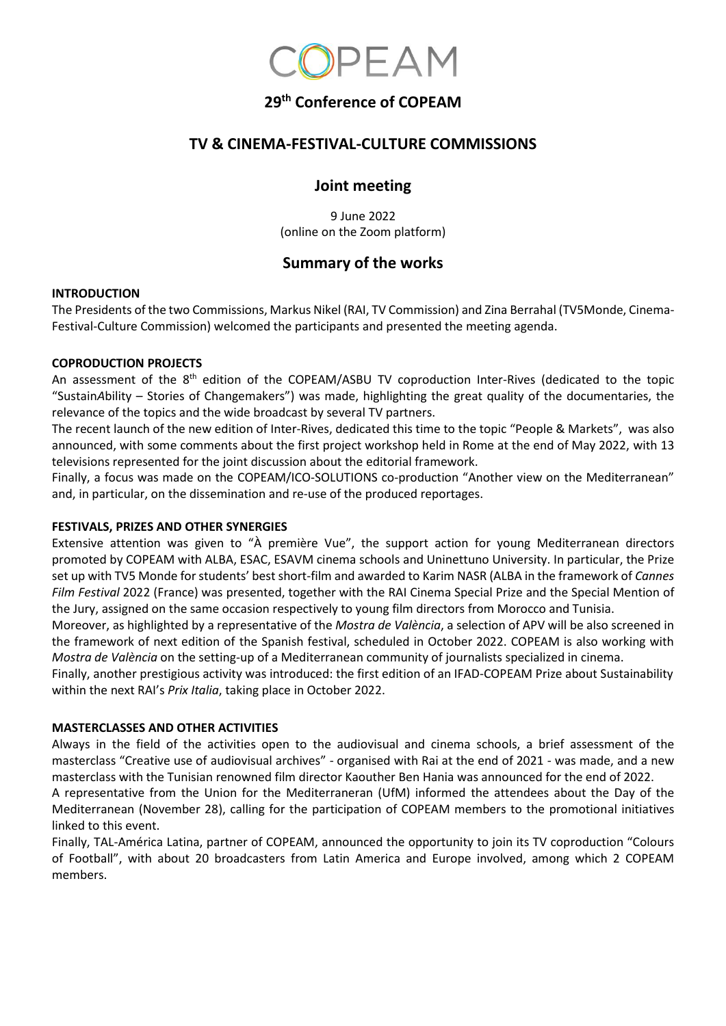

# **29 th Conference of COPEAM**

## **TV & CINEMA-FESTIVAL-CULTURE COMMISSIONS**

### **Joint meeting**

9 June 2022 (online on the Zoom platform)

# **Summary of the works**

#### **INTRODUCTION**

The Presidents of the two Commissions, Markus Nikel (RAI, TV Commission) and Zina Berrahal (TV5Monde, Cinema-Festival-Culture Commission) welcomed the participants and presented the meeting agenda.

### **COPRODUCTION PROJECTS**

An assessment of the 8<sup>th</sup> edition of the COPEAM/ASBU TV coproduction Inter-Rives (dedicated to the topic "Sustain*A*bility – Stories of Changemakers") was made, highlighting the great quality of the documentaries, the relevance of the topics and the wide broadcast by several TV partners.

The recent launch of the new edition of Inter-Rives, dedicated this time to the topic "People & Markets", was also announced, with some comments about the first project workshop held in Rome at the end of May 2022, with 13 televisions represented for the joint discussion about the editorial framework.

Finally, a focus was made on the COPEAM/ICO-SOLUTIONS co-production "Another view on the Mediterranean" and, in particular, on the dissemination and re-use of the produced reportages.

#### **FESTIVALS, PRIZES AND OTHER SYNERGIES**

Extensive attention was given to "À première Vue", the support action for young Mediterranean directors promoted by COPEAM with ALBA, ESAC, ESAVM cinema schools and Uninettuno University. In particular, the Prize set up with TV5 Monde for students' best short-film and awarded to Karim NASR (ALBA in the framework of *Cannes Film Festival* 2022 (France) was presented, together with the RAI Cinema Special Prize and the Special Mention of the Jury, assigned on the same occasion respectively to young film directors from Morocco and Tunisia.

Moreover, as highlighted by a representative of the *Mostra de València*, a selection of APV will be also screened in the framework of next edition of the Spanish festival, scheduled in October 2022. COPEAM is also working with *Mostra de València* on the setting-up of a Mediterranean community of journalists specialized in cinema.

Finally, another prestigious activity was introduced: the first edition of an IFAD-COPEAM Prize about Sustainability within the next RAI's *Prix Italia*, taking place in October 2022.

### **MASTERCLASSES AND OTHER ACTIVITIES**

Always in the field of the activities open to the audiovisual and cinema schools, a brief assessment of the masterclass "Creative use of audiovisual archives" - organised with Rai at the end of 2021 - was made, and a new masterclass with the Tunisian renowned film director Kaouther Ben Hania was announced for the end of 2022.

A representative from the Union for the Mediterraneran (UfM) informed the attendees about the Day of the Mediterranean (November 28), calling for the participation of COPEAM members to the promotional initiatives linked to this event.

Finally, TAL-América Latina, partner of COPEAM, announced the opportunity to join its TV coproduction "Colours of Football", with about 20 broadcasters from Latin America and Europe involved, among which 2 COPEAM members.